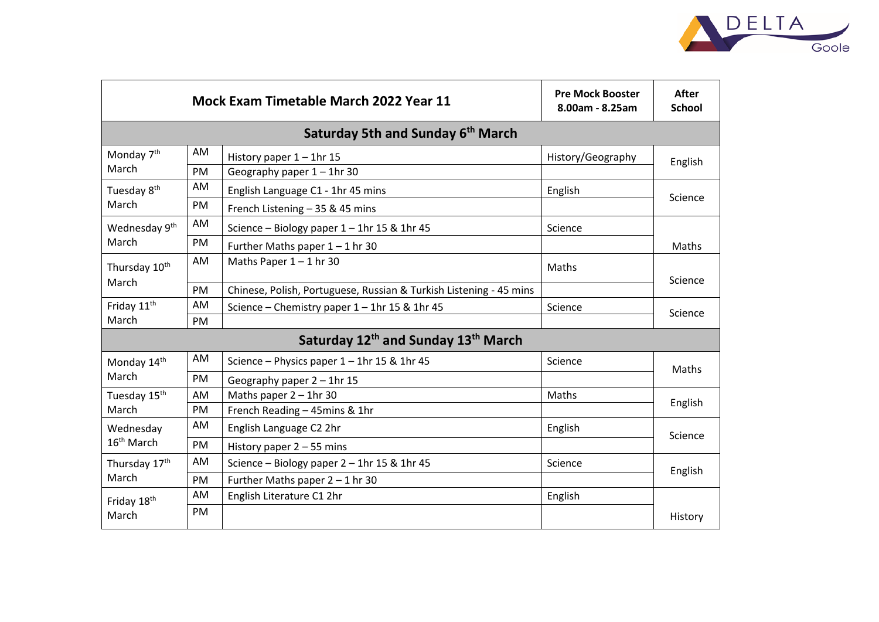

|                                                             | <b>Mock Exam Timetable March 2022 Year 11</b> | <b>Pre Mock Booster</b><br>8.00am - 8.25am                         | <b>After</b><br><b>School</b> |         |  |  |  |  |
|-------------------------------------------------------------|-----------------------------------------------|--------------------------------------------------------------------|-------------------------------|---------|--|--|--|--|
| Saturday 5th and Sunday 6 <sup>th</sup> March               |                                               |                                                                    |                               |         |  |  |  |  |
| Monday 7 <sup>th</sup><br>March                             | AM                                            | History paper $1 - 1$ hr 15                                        | History/Geography             | English |  |  |  |  |
|                                                             | PM                                            | Geography paper $1 - 1$ hr 30                                      |                               |         |  |  |  |  |
| Tuesday 8 <sup>th</sup><br>March                            | AM                                            | English Language C1 - 1hr 45 mins                                  | English                       | Science |  |  |  |  |
|                                                             | PM                                            | French Listening - 35 & 45 mins                                    |                               |         |  |  |  |  |
| Wednesday 9 <sup>th</sup><br>March                          | AM                                            | Science - Biology paper 1 - 1hr 15 & 1hr 45                        | Science                       |         |  |  |  |  |
|                                                             | PM                                            | Further Maths paper $1 - 1$ hr 30                                  |                               | Maths   |  |  |  |  |
| Thursday 10 <sup>th</sup><br>March                          | AM                                            | Maths Paper $1 - 1$ hr 30                                          | Maths                         | Science |  |  |  |  |
|                                                             | PM                                            | Chinese, Polish, Portuguese, Russian & Turkish Listening - 45 mins |                               |         |  |  |  |  |
| Friday 11 <sup>th</sup><br>March                            | <b>AM</b>                                     | Science - Chemistry paper 1 - 1hr 15 & 1hr 45                      | Science                       | Science |  |  |  |  |
|                                                             | <b>PM</b>                                     |                                                                    |                               |         |  |  |  |  |
| Saturday 12 <sup>th</sup> and Sunday 13 <sup>th</sup> March |                                               |                                                                    |                               |         |  |  |  |  |
| Monday 14th<br>March                                        | AM                                            | Science - Physics paper 1 - 1hr 15 & 1hr 45                        | Science                       | Maths   |  |  |  |  |
|                                                             | PM                                            | Geography paper $2 - 1$ hr 15                                      |                               |         |  |  |  |  |
| Tuesday 15 <sup>th</sup><br>March                           | AM                                            | Maths paper $2 - 1$ hr 30                                          | Maths                         | English |  |  |  |  |
|                                                             | PM                                            | French Reading - 45mins & 1hr                                      |                               |         |  |  |  |  |
| Wednesday<br>16 <sup>th</sup> March                         | <b>AM</b>                                     | English Language C2 2hr                                            | English                       | Science |  |  |  |  |
|                                                             | <b>PM</b>                                     | History paper $2 - 55$ mins                                        |                               |         |  |  |  |  |
| Thursday 17 <sup>th</sup><br>March                          | <b>AM</b>                                     | Science - Biology paper 2 - 1hr 15 & 1hr 45                        | Science                       | English |  |  |  |  |
|                                                             | PM                                            | Further Maths paper $2 - 1$ hr 30                                  |                               |         |  |  |  |  |
| Friday 18th<br>March                                        | AM                                            | English Literature C1 2hr                                          | English                       |         |  |  |  |  |
|                                                             | <b>PM</b>                                     |                                                                    |                               | History |  |  |  |  |